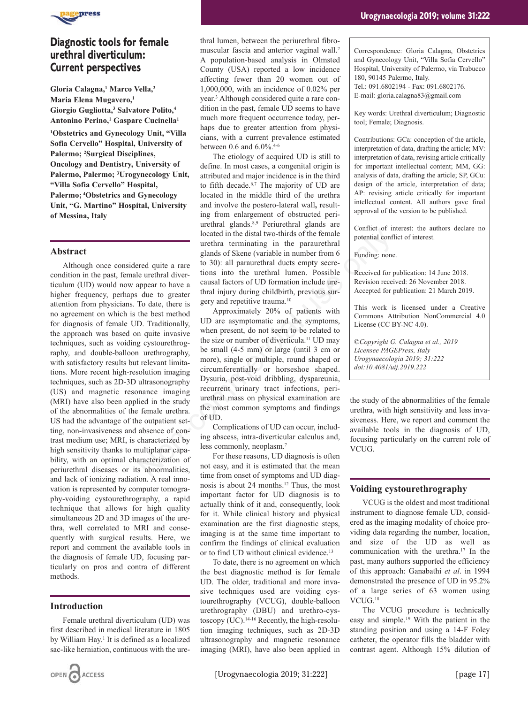

# **Diagnostic tools for female urethral diverticulum: Current perspectives**

**Gloria Calagna,1 Marco Vella,2 Maria Elena Mugavero,1 Giorgio Gugliotta,3 Salvatore Polito,4 Antonino Perino,1 Gaspare Cucinella1**

**1 Obstetrics and Gynecology Unit, "Villa Sofia Cervello" Hospital, University of Palermo; 2Surgical Disciplines, Oncology and Dentistry, University of Palermo, Palermo; 3 Urogynecology Unit, "Villa Sofia Cervello" Hospital, Palermo; 4Obstetrics and Gynecology Unit, "G. Martino" Hospital, University of Messina, Italy**

## **Abstract**

Although once considered quite a rare condition in the past, female urethral diverticulum (UD) would now appear to have a higher frequency, perhaps due to greater attention from physicians. To date, there is no agreement on which is the best method for diagnosis of female UD. Traditionally, the approach was based on quite invasive techniques, such as voiding cystourethrography, and double-balloon urethrography, with satisfactory results but relevant limitations. More recent high-resolution imaging techniques, such as 2D-3D ultrasonography (US) and magnetic resonance imaging (MRI) have also been applied in the study of the abnormalities of the female urethra. US had the advantage of the outpatient setting, non-invasiveness and absence of contrast medium use; MRI, is characterized by high sensitivity thanks to multiplanar capability, with an optimal characterization of periurethral diseases or its abnormalities, and lack of ionizing radiation. A real innovation is represented by computer tomography-voiding cystourethrography, a rapid technique that allows for high quality simultaneous 2D and 3D images of the urethra, well correlated to MRI and consequently with surgical results. Here, we report and comment the available tools in the diagnosis of female UD, focusing particularly on pros and contra of different methods.

## **Introduction**

Female urethral diverticulum (UD) was first described in medical literature in 1805 by William Hay.<sup>1</sup> It is defined as a localized sac-like herniation, continuous with the urethral lumen, between the periurethral fibromuscular fascia and anterior vaginal wall.2 A population-based analysis in Olmsted County (USA) reported a low incidence affecting fewer than 20 women out of 1,000,000, with an incidence of 0.02% per year.3 Although considered quite a rare condition in the past, female UD seems to have much more frequent occurrence today, perhaps due to greater attention from physicians, with a current prevalence estimated between 0.6 and 6.0%.<sup>4-6</sup>

The etiology of acquired UD is still to define. In most cases, a congenital origin is attributed and major incidence is in the third to fifth decade.6,7 The majority of UD are located in the middle third of the urethra and involve the postero-lateral wall**,** resulting from enlargement of obstructed periurethral glands.8,9 Periurethral glands are located in the distal two-thirds of the female urethra terminating in the paraurethral glands of Skene (variable in number from 6 to 30): all paraurethral ducts empty secretions into the urethral lumen. Possible causal factors of UD formation include urethral injury during childbirth, previous surgery and repetitive trauma.10

Approximately 20% of patients with UD are asymptomatic and the symptoms, when present, do not seem to be related to the size or number of diverticula.11 UD may be small (4-5 mm) or large (until 3 cm or more), single or multiple, round shaped or circumferentially or horseshoe shaped. Dysuria, post-void dribbling, dyspareunia, recurrent urinary tract infections, periurethral mass on physical examination are the most common symptoms and findings of UD. located in the distal two-thirds of the female<br>
urethral entired in the paramethral<br>
urethral entired in the paramethral<br>
entired quite a rare to 30): all paramethral ducts empty secre-<br>
le urethral diver-<br>
to ave a causa

Complications of UD can occur, including abscess, intra-diverticular calculus and, less commonly, neoplasm.7

For these reasons, UD diagnosis is often not easy, and it is estimated that the mean time from onset of symptoms and UD diagnosis is about 24 months.<sup>12</sup> Thus, the most important factor for UD diagnosis is to actually think of it and, consequently, look for it. While clinical history and physical examination are the first diagnostic steps, imaging is at the same time important to confirm the findings of clinical evaluation or to find UD without clinical evidence.<sup>13</sup>

To date, there is no agreement on which the best diagnostic method is for female UD. The older, traditional and more invasive techniques used are voiding cystourethrography (VCUG), double-balloon urethrography (DBU) and urethro-cystoscopy (UC).14-16 Recently, the high-resolution imaging techniques, such as 2D-3D ultrasonography and magnetic resonance imaging (MRI), have also been applied in Correspondence: Gloria Calagna, Obstetrics and Gynecology Unit, "Villa Sofia Cervello" Hospital, University of Palermo, via Trabucco 180, 90145 Palermo, Italy. Tel.: 091.6802194 - Fax: 091.6802176. E-mail: gloria.calagna83@gmail.com

Key words: Urethral diverticulum; Diagnostic tool; Female; Diagnosis.

Contributions: GCa: conception of the article, interpretation of data, drafting the article; MV: interpretation of data, revising article critically for important intellectual content; MM, GG: analysis of data, drafting the article; SP, GCu: design of the article, interpretation of data; AP: revising article critically for important intellectual content. All authors gave final approval of the version to be published.

Conflict of interest: the authors declare no potential conflict of interest.

Funding: none.

Received for publication: 14 June 2018. Revision received: 26 November 2018. Accepted for publication: 21 March 2019.

This work is licensed under a Creative Commons Attribution NonCommercial 4.0 License (CC BY-NC 4.0).

*©Copyright G. Calagna et al., 2019 Licensee PAGEPress, Italy Urogynaecologia 2019; 31:222 doi:10.4081/uij.2019*.*222*

the study of the abnormalities of the female urethra, with high sensitivity and less invasiveness. Here, we report and comment the available tools in the diagnosis of UD, focusing particularly on the current role of VCUG.

## **Voiding cystourethrography**

VCUG is the oldest and most traditional instrument to diagnose female UD, considered as the imaging modality of choice providing data regarding the number, location, and size of the UD as well as communication with the urethra.17 In the past, many authors supported the efficiency of this approach: Ganabathi *et al*. in 1994 demonstrated the presence of UD in 95.2% of a large series of 63 women using VCUG.18

The VCUG procedure is technically easy and simple.19 With the patient in the standing position and using a 14-F Foley catheter, the operator fills the bladder with contrast agent. Although 15% dilution of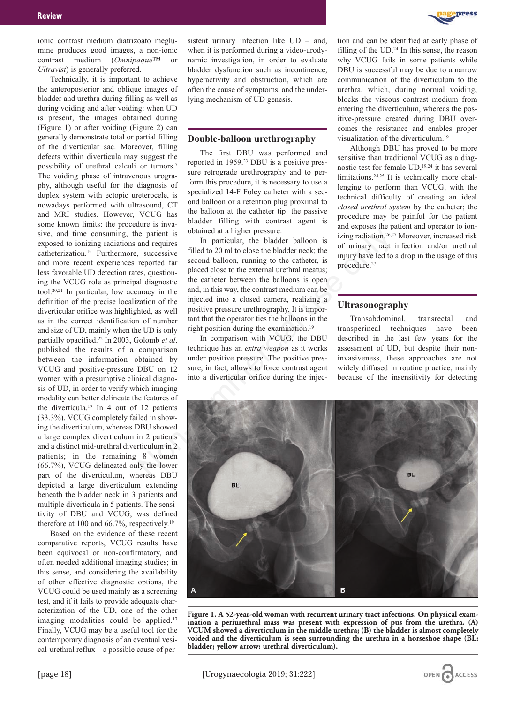ionic contrast medium diatrizoato meglumine produces good images, a non-ionic contrast medium (*Omnipaque™* or *Ultravist*) is generally preferred.

Technically, it is important to achieve the anteroposterior and oblique images of bladder and urethra during filling as well as during voiding and after voiding: when UD is present, the images obtained during (Figure 1) or after voiding (Figure 2) can generally demonstrate total or partial filling of the diverticular sac. Moreover, filling defects within diverticula may suggest the possibility of urethral calculi or tumors.7 The voiding phase of intravenous urography, although useful for the diagnosis of duplex system with ectopic ureterocele, is nowadays performed with ultrasound, CT and MRI studies. However, VCUG has some known limits: the procedure is invasive, and time consuming, the patient is exposed to ionizing radiations and requires catheterization.19 Furthermore, successive and more recent experiences reported far less favorable UD detection rates, questioning the VCUG role as principal diagnostic tool.20,21 In particular, low accuracy in the definition of the precise localization of the diverticular orifice was highlighted, as well as in the correct identification of number and size of UD, mainly when the UD is only partially opacified.22 In 2003, Golomb *et al*. published the results of a comparison between the information obtained by VCUG and positive-pressure DBU on 12 women with a presumptive clinical diagnosis of UD, in order to verify which imaging modality can better delineate the features of the diverticula.19 In 4 out of 12 patients (33.3%), VCUG completely failed in showing the diverticulum, whereas DBU showed a large complex diverticulum in 2 patients and a distinct mid-urethral diverticulum in 2 patients; in the remaining 8 women (66.7%), VCUG delineated only the lower part of the diverticulum, whereas DBU depicted a large diverticulum extending beneath the bladder neck in 3 patients and multiple diverticula in 5 patients. The sensitivity of DBU and VCUG, was defined therefore at 100 and 66.7%, respectively.<sup>19</sup>

Based on the evidence of these recent comparative reports, VCUG results have been equivocal or non-confirmatory, and often needed additional imaging studies; in this sense, and considering the availability of other effective diagnostic options, the VCUG could be used mainly as a screening test, and if it fails to provide adequate characterization of the UD, one of the other imaging modalities could be applied.<sup>17</sup> Finally, VCUG may be a useful tool for the contemporary diagnosis of an eventual vesical-urethral reflux – a possible cause of persistent urinary infection like UD – and, when it is performed during a video-urodynamic investigation, in order to evaluate bladder dysfunction such as incontinence, hyperactivity and obstruction, which are often the cause of symptoms, and the underlying mechanism of UD genesis.

## **Double-balloon urethrography**

The first DBU was performed and reported in 1959.23 DBU is a positive pressure retrograde urethrography and to perform this procedure, it is necessary to use a specialized 14-F Foley catheter with a second balloon or a retention plug proximal to the balloon at the catheter tip: the passive bladder filling with contrast agent is obtained at a higher pressure.

In particular, the bladder balloon is filled to 20 ml to close the bladder neck; the second balloon, running to the catheter, is placed close to the external urethral meatus; the catheter between the balloons is open and, in this way, the contrast medium can be injected into a closed camera, realizing a positive pressure urethrography. It is important that the operator ties the balloons in the right position during the examination.19

In comparison with VCUG, the DBU technique has an *extra weapon* as it works under positive pressure. The positive pressure, in fact, allows to force contrast agent into a diverticular orifice during the injection and can be identified at early phase of filling of the UD.<sup>24</sup> In this sense, the reason why VCUG fails in some patients while DBU is successful may be due to a narrow communication of the diverticulum to the urethra, which, during normal voiding, blocks the viscous contrast medium from entering the diverticulum, whereas the positive-pressure created during DBU overcomes the resistance and enables proper visualization of the diverticulum.19

Although DBU has proved to be more sensitive than traditional VCUG as a diagnostic test for female UD,19,24 it has several limitations.24,25 It is technically more challenging to perform than VCUG, with the technical difficulty of creating an ideal *closed urethral system* by the catheter; the procedure may be painful for the patient and exposes the patient and operator to ionizing radiation.26,27 Moreover, increased risk of urinary tract infection and/or urethral injury have led to a drop in the usage of this procedure.<sup>27</sup>

## **Ultrasonography**

Transabdominal, transrectal and transperineal techniques have been described in the last few years for the assessment of UD, but despite their noninvasiveness, these approaches are not widely diffused in routine practice, mainly because of the insensitivity for detecting



**Figure 1. A 52-year-old woman with recurrent urinary tract infections. On physical examination a periurethral mass was present with expression of pus from the urethra. (A) VCUM showed a diverticulum in the middle urethra; (B) the bladder is almost completely voided and the diverticulum is seen surrounding the urethra in a horseshoe shape (BL: bladder; yellow arrow: urethral diverticulum).**



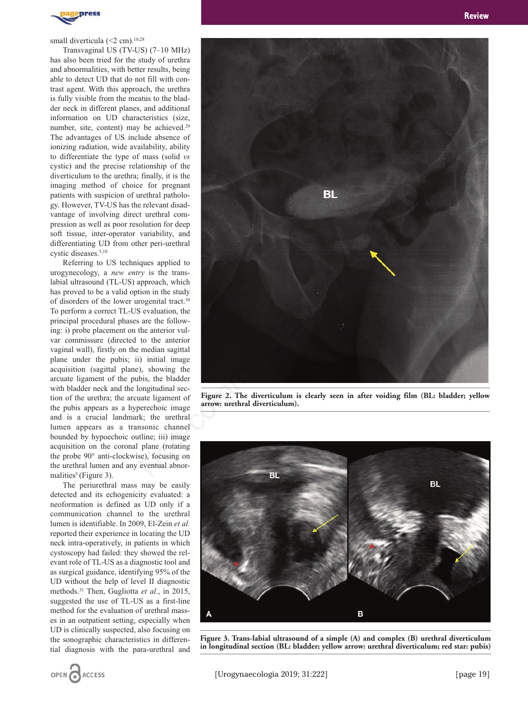

#### small diverticula (<2 cm).<sup>10,28</sup>

Transvaginal US (TV-US) (7–10 MHz) has also been tried for the study of urethra and abnormalities, with better results, being able to detect UD that do not fill with contrast agent. With this approach, the urethra is fully visible from the meatus to the bladder neck in different planes, and additional information on UD characteristics (size, number, site, content) may be achieved.<sup>29</sup> The advantages of US include absence of ionizing radiation, wide availability, ability to differentiate the type of mass (solid *vs* cystic) and the precise relationship of the diverticulum to the urethra; finally, it is the imaging method of choice for pregnant patients with suspicion of urethral pathology. However, TV-US has the relevant disadvantage of involving direct urethral compression as well as poor resolution for deep soft tissue, inter-operator variability, and differentiating UD from other peri-urethral cystic diseases.5,10

Referring to US techniques applied to urogynecology, a *new entry* is the translabial ultrasound (TL-US) approach, which has proved to be a valid option in the study of disorders of the lower urogenital tract.30 To perform a correct TL-US evaluation, the principal procedural phases are the following: i) probe placement on the anterior vulvar commissure (directed to the anterior vaginal wall), firstly on the median sagittal plane under the pubis; ii) initial image acquisition (sagittal plane), showing the arcuate ligament of the pubis, the bladder with bladder neck and the longitudinal section of the urethra; the arcuate ligament of the pubis appears as a hyperechoic image and is a crucial landmark; the urethral lumen appears as a transonic channel bounded by hypoechoic outline; iii) image acquisition on the coronal plane (rotating the probe 90° anti-clockwise), focusing on the urethral lumen and any eventual abnormalities<sup>5</sup> (Figure 3).

The periurethral mass may be easily detected and its echogenicity evaluated: a neoformation is defined as UD only if a communication channel to the urethral lumen is identifiable. In 2009, El-Zein *et al.* reported their experience in locating the UD neck intra-operatively, in patients in which cystoscopy had failed: they showed the relevant role of TL-US as a diagnostic tool and as surgical guidance, identifying 95% of the UD without the help of level II diagnostic methods.31 Then, Gugliotta *et al*., in 2015, suggested the use of TL-US as a first-line method for the evaluation of urethral masses in an outpatient setting, especially when UD is clinically suspected, also focusing on the sonographic characteristics in differential diagnosis with the para-urethral and

OPEN CACCESS



**Figure 2. The diverticulum is clearly seen in after voiding film (BL: bladder; yellow arrow: urethral diverticulum).**



**Figure 3. Trans-labial ultrasound of a simple (A) and complex (B) urethral diverticulum in longitudinal section (BL: bladder; yellow arrow: urethral diverticulum; red star: pubis)**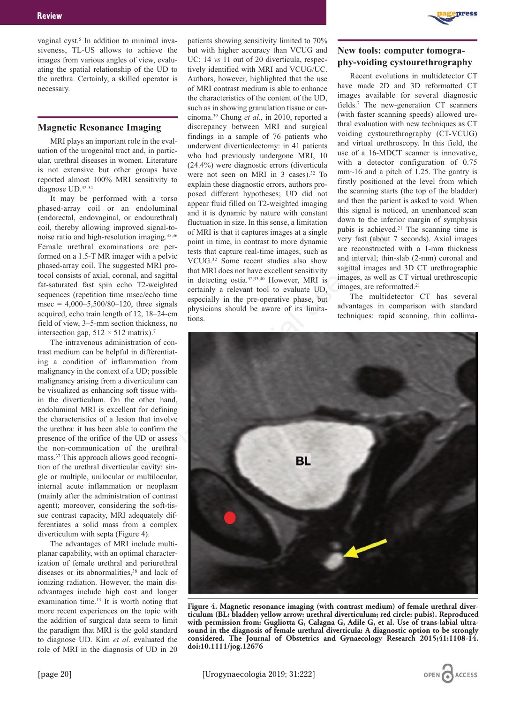vaginal cyst.<sup>5</sup> In addition to minimal invasiveness, TL-US allows to achieve the images from various angles of view, evaluating the spatial relationship of the UD to the urethra. Certainly, a skilled operator is necessary.

## **Magnetic Resonance Imaging**

MRI plays an important role in the evaluation of the urogenital tract and, in particular, urethral diseases in women. Literature is not extensive but other groups have reported almost 100% MRI sensitivity to diagnose UD.32-34

It may be performed with a torso phased-array coil or an endoluminal (endorectal, endovaginal, or endourethral) coil, thereby allowing improved signal-tonoise ratio and high-resolution imaging.35,36 Female urethral examinations are performed on a 1.5-T MR imager with a pelvic phased-array coil. The suggested MRI protocol consists of axial, coronal, and sagittal fat-saturated fast spin echo T2-weighted sequences (repetition time msec/echo time msec =  $4,000-5,500/80-120$ , three signals acquired, echo train length of 12, 18–24-cm field of view, 3–5-mm section thickness, no intersection gap,  $512 \times 512$  matrix).<sup>7</sup>

The intravenous administration of contrast medium can be helpful in differentiating a condition of inflammation from malignancy in the context of a UD; possible malignancy arising from a diverticulum can be visualized as enhancing soft tissue within the diverticulum. On the other hand, endoluminal MRI is excellent for defining the characteristics of a lesion that involve the urethra: it has been able to confirm the presence of the orifice of the UD or assess the non-communication of the urethral mass.37 This approach allows good recognition of the urethral diverticular cavity: single or multiple, unilocular or multilocular, internal acute inflammation or neoplasm (mainly after the administration of contrast agent); moreover, considering the soft-tissue contrast capacity, MRI adequately differentiates a solid mass from a complex diverticulum with septa (Figure 4).

The advantages of MRI include multiplanar capability, with an optimal characterization of female urethral and periurethral diseases or its abnormalities,<sup>38</sup> and lack of ionizing radiation. However, the main disadvantages include high cost and longer examination time.<sup>13</sup> It is worth noting that more recent experiences on the topic with the addition of surgical data seem to limit the paradigm that MRI is the gold standard to diagnose UD. Kim *et al*. evaluated the role of MRI in the diagnosis of UD in 20

patients showing sensitivity limited to 70% but with higher accuracy than VCUG and UC: 14 *vs* 11 out of 20 diverticula, respectively identified with MRI and VCUG/UC. Authors, however, highlighted that the use of MRI contrast medium is able to enhance the characteristics of the content of the UD, such as in showing granulation tissue or carcinoma.39 Chung *et al*., in 2010, reported a discrepancy between MRI and surgical findings in a sample of 76 patients who underwent diverticulectomy: in 41 patients who had previously undergone MRI, 10 (24.4%) were diagnostic errors (diverticula were not seen on MRI in 3 cases).<sup>32</sup> To explain these diagnostic errors, authors proposed different hypotheses; UD did not appear fluid filled on T2-weighted imaging and it is dynamic by nature with constant fluctuation in size. In this sense, a limitation of MRI is that it captures images at a single point in time, in contrast to more dynamic tests that capture real-time images, such as VCUG.32 Some recent studies also show that MRI does not have excellent sensitivity in detecting ostia.32,33,40 However, MRI is certainly a relevant tool to evaluate UD, especially in the pre-operative phase, but physicians should be aware of its limitations.



## **New tools: computer tomography-voiding cystourethrography**

Recent evolutions in multidetector CT have made 2D and 3D reformatted CT images available for several diagnostic fields.7 The new-generation CT scanners (with faster scanning speeds) allowed urethral evaluation with new techniques as CT voiding cystourethrography (CT-VCUG) and virtual urethroscopy. In this field, the use of a 16-MDCT scanner is innovative, with a detector configuration of 0.75 mm~16 and a pitch of 1.25. The gantry is firstly positioned at the level from which the scanning starts (the top of the bladder) and then the patient is asked to void. When this signal is noticed, an unenhanced scan down to the inferior margin of symphysis pubis is achieved.21 The scanning time is very fast (about 7 seconds). Axial images are reconstructed with a 1-mm thickness and interval; thin-slab (2-mm) coronal and sagittal images and 3D CT urethrographic images, as well as CT virtual urethroscopic images, are reformatted.<sup>21</sup>

The multidetector CT has several advantages in comparison with standard techniques: rapid scanning, thin collima-



**Figure 4. Magnetic resonance imaging (with contrast medium) of female urethral diverticulum (BL: bladder; yellow arrow: urethral diverticulum; red circle: pubis). Reproduced with permission from: Gugliotta G, Calagna G, Adile G, et al. Use of trans-labial ultrasound in the diagnosis of female urethral diverticula: A diagnostic option to be strongly considered. The Journal of Obstetrics and Gynaecology Research 2015;41:1108-14. doi:10.1111/jog.12676**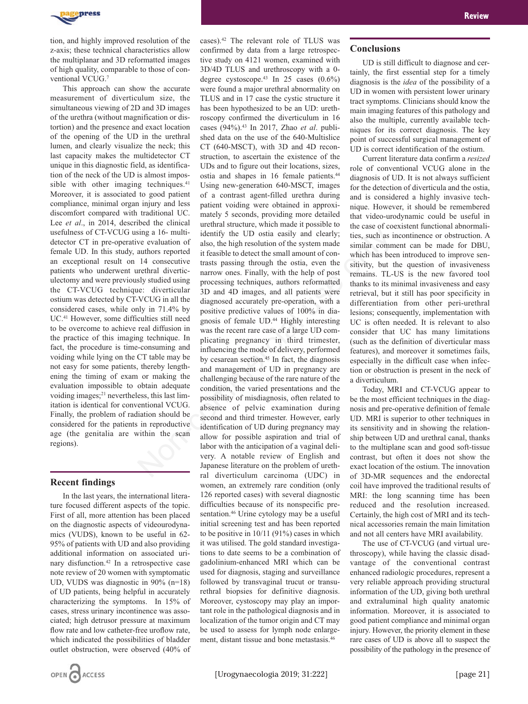

tion, and highly improved resolution of the z-axis; these technical characteristics allow the multiplanar and 3D reformatted images of high quality, comparable to those of conventional VCUG.7

This approach can show the accurate measurement of diverticulum size, the simultaneous viewing of 2D and 3D images of the urethra (without magnification or distortion) and the presence and exact location of the opening of the UD in the urethral lumen, and clearly visualize the neck; this last capacity makes the multidetector CT unique in this diagnostic field, as identification of the neck of the UD is almost impossible with other imaging techniques.<sup>41</sup> Moreover, it is associated to good patient compliance, minimal organ injury and less discomfort compared with traditional UC. Lee *et al.*, in 2014, described the clinical usefulness of CT-VCUG using a 16- multidetector CT in pre-operative evaluation of female UD. In this study, authors reported an exceptional result on 14 consecutive patients who underwent urethral diverticulectomy and were previously studied using the CT-VCUG technique: diverticular ostium was detected by CT-VCUG in all the considered cases, while only in 71.4% by UC.41 However, some difficulties still need to be overcome to achieve real diffusion in the practice of this imaging technique. In fact, the procedure is time-consuming and voiding while lying on the CT table may be not easy for some patients, thereby lengthening the timing of exam or making the evaluation impossible to obtain adequate voiding images;<sup>21</sup> nevertheless, this last limitation is identical for conventional VCUG. Finally, the problem of radiation should be considered for the patients in reproductive age (the genitalia are within the scan regions).

## **Recent findings**

In the last years, the international literature focused different aspects of the topic. First of all, more attention has been placed on the diagnostic aspects of videourodynamics (VUDS), known to be useful in 62- 95% of patients with UD and also providing additional information on associated urinary disfunction.42 In a retrospective case note review of 20 women with symptomatic UD, VUDS was diagnostic in 90% (n=18) of UD patients, being helpful in accurately characterizing the symptoms. In 15% of cases, stress urinary incontinence was associated; high detrusor pressure at maximum flow rate and low catheter-free uroflow rate, which indicated the possibilities of bladder outlet obstruction, were observed (40% of



cases).42 The relevant role of TLUS was confirmed by data from a large retrospective study on 4121 women, examined with 3D/4D TLUS and urethroscopy with a 0 degree cystoscope.43 In 25 cases (0.6%) were found a major urethral abnormality on TLUS and in 17 case the cystic structure it has been hypothesized to be an UD: urethroscopy confirmed the diverticulum in 16 cases (94%).43 In 2017, Zhao *et al*. published data on the use of the 640-Multislice CT (640-MSCT), with 3D and 4D reconstruction, to ascertain the existence of the UDs and to figure out their locations, sizes, ostia and shapes in 16 female patients.44 Using new-generation 640-MSCT, images of a contrast agent-filled urethra during patient voiding were obtained in approximately 5 seconds, providing more detailed urethral structure, which made it possible to identify the UD ostia easily and clearly; also, the high resolution of the system made it feasible to detect the small amount of contrasts passing through the ostia, even the narrow ones. Finally, with the help of post processing techniques, authors reformatted 3D and 4D images, and all patients were diagnosed accurately pre-operation, with a positive predictive values of 100% in diagnosis of female UD.44 Highly interesting was the recent rare case of a large UD complicating pregnancy in third trimester, influencing the mode of delivery, performed by cesarean section.<sup>45</sup> In fact, the diagnosis and management of UD in pregnancy are challenging because of the rare nature of the condition, the varied presentations and the possibility of misdiagnosis, often related to absence of pelvic examination during second and third trimester. However, early identification of UD during pregnancy may allow for possible aspiration and trial of labor with the anticipation of a vaginal delivery. A notable review of English and Japanese literature on the problem of urethral diverticulum carcinoma (UDC) in women, an extremely rare condition (only 126 reported cases) with several diagnostic difficulties because of its nonspecific presentation.46 Urine cytology may be a useful initial screening test and has been reported to be positive in 10/11 (91%) cases in which it was utilised. The gold standard investigations to date seems to be a combination of gadolinium-enhanced MRI which can be used for diagnosis, staging and surveillance followed by transvaginal trucut or transurethral biopsies for definitive diagnosis. Moreover, cystoscopy may play an important role in the pathological diagnosis and in localization of the tumor origin and CT may be used to assess for lymph node enlargesing a 16- multi-<br>
identify the UD ostia easily and clearly;<br>
ites, such as i<br>
are vehicular of the system made<br>
interaction of the system made<br>
interactive translations of the system made<br>
interactive translations betwee

### **Conclusions**

UD is still difficult to diagnose and certainly, the first essential step for a timely diagnosis is the *idea* of the possibility of a UD in women with persistent lower urinary tract symptoms. Clinicians should know the main imaging features of this pathology and also the multiple, currently available techniques for its correct diagnosis. The key point of successful surgical management of UD is correct identification of the ostium.

Current literature data confirm a *resized* role of conventional VCUG alone in the diagnosis of UD. It is not always sufficient for the detection of diverticula and the ostia, and is considered a highly invasive technique. However, it should be remembered that video-urodynamic could be useful in the case of coexistent functional abnormalities, such as incontinence or obstruction. A similar comment can be made for DBU, which has been introduced to improve sensitivity, but the question of invasiveness remains. TL-US is the new favored tool thanks to its minimal invasiveness and easy retrieval, but it still has poor specificity in differentiation from other peri-urethral lesions; consequently, implementation with UC is often needed. It is relevant to also consider that UC has many limitations (such as the definition of diverticular mass features), and moreover it sometimes fails, especially in the difficult case when infection or obstruction is present in the neck of a diverticulum.

Today, MRI and CT-VCUG appear to be the most efficient techniques in the diagnosis and pre-operative definition of female UD. MRI is superior to other techniques in its sensitivity and in showing the relationship between UD and urethral canal, thanks to the multiplane scan and good soft-tissue contrast, but often it does not show the exact location of the ostium. The innovation of 3D-MR sequences and the endorectal coil have improved the traditional results of MRI: the long scanning time has been reduced and the resolution increased. Certainly, the high cost of MRI and its technical accessories remain the main limitation and not all centers have MRI availability.

The use of CT-VCUG (and virtual urethroscopy), while having the classic disadvantage of the conventional contrast enhanced radiologic procedures, represent a very reliable approach providing structural information of the UD, giving both urethral and extraluminal high quality anatomic information. Moreover, it is associated to good patient compliance and minimal organ injury. However, the priority element in these rare cases of UD is above all to suspect the possibility of the pathology in the presence of

ment, distant tissue and bone metastasis.46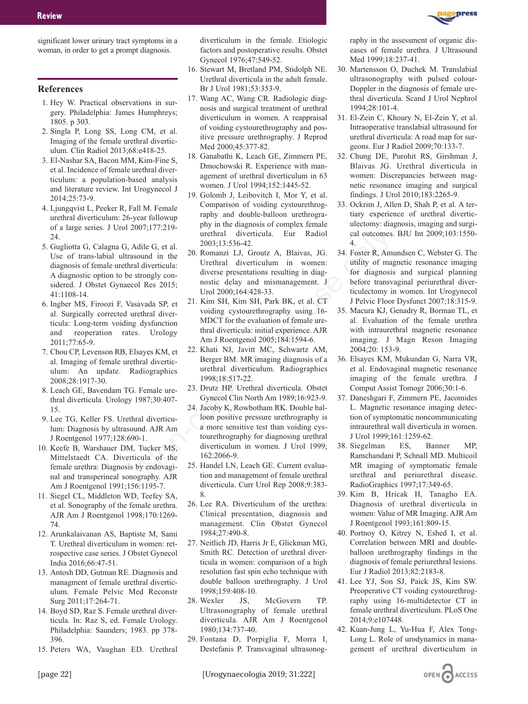significant lower urinary tract symptoms in a woman, in order to get a prompt diagnosis.

### **References**

- 1. Hey W. Practical observations in surgery. Philadelphia: James Humphreys; 1805. p 303.
- 2. Singla P, Long SS, Long CM, et al. Imaging of the female urethral diverticulum. Clin Radiol 2013;68:e418-25.
- 3. El-Nashar SA, Bacon MM, Kim-Fine S, et al. Incidence of female urethral diverticulum: a population-based analysis and literature review. Int Urogynecol J 2014;25:73-9.
- 4. Ljungqvist L, Peeker R, Fall M. Female urethral diverticulum: 26-year followup of a large series. J Urol 2007;177:219- 24.
- 5. Gugliotta G, Calagna G, Adile G, et al. Use of trans-labial ultrasound in the diagnosis of female urethral diverticula: A diagnostic option to be strongly considered. J Obstet Gynaecol Res 2015; 41:1108-14.
- 6. Ingber MS, Firoozi F, Vasavada SP, et al. Surgically corrected urethral diverticula: Long-term voiding dysfunction and reoperation rates. Urology 2011;77:65-9.
- 7. Chou CP, Levenson RB, Elsayes KM, et al. Imaging of female urethral diverticulum: An update. Radiographics 2008;28:1917-30.
- 8. Leach GE, Bavendam TG. Female urethral diverticula. Urology 1987;30:407- 15.
- 9. Lee TG, Keller FS. Urethral diverticulum: Diagnosis by ultrasound. AJR Am J Roentgenol 1977;128:690-1.
- 10. Keefe B, Warshauer DM, Tucker MS, Mittelstaedt CA. Diverticula of the female urethra: Diagnosis by endovaginal and transperineal sonography. AJR Am J Roentgenol 1991;156:1195-7.
- 11. Siegel CL, Middleton WD, Teefey SA, et al. Sonography of the female urethra. AJR Am J Roentgenol 1998;170:1269- 74.
- 12. Arunkalaivanan AS, Baptiste M, Sami T. Urethral diverticulum in women: retrospective case series. J Obstet Gynecol India 2016;66:47-51.
- 13. Antosh DD, Gutman RE. Diagnosis and managment of female urethral diverticulum. Female Pelvic Med Reconstr Surg 2011;17:264-71.
- 14. Boyd SD, Raz S. Female urethral diverticula. In: Raz S, ed. Female Urology. Philadelphia: Saunders; 1983. pp 378- 396.
- 15. Peters WA, Vaughan ED. Urethral

diverticulum in the female. Etiologic factors and postoperative results. Obstet Gynecol 1976;47:549-52.

- 16. Stewart M, Bretland PM, Stidolph NE. Urethral diverticula in the adult female. Br J Urol 1981;53:353-9.
- 17. Wang AC, Wang CR. Radiologic diagnosis and surgical treatment of urethral diverticulum in women. A reappraisal of voiding cystourethrography and positive pressure urethrography. J Reprod Med 2000;45:377-82.
- 18. Ganabathi K, Leach GE, Zimmern PE, Dmochowski R. Experience with management of urethral diverticulum in 63 women. J Urol 1994;152:1445-52.
- 19. Golomb J, Leibovitch I, Mor Y, et al. Comparison of voiding cystourethrography and double-balloon urethrography in the diagnosis of complex female urethral diverticula. Eur Radiol 2003;13:536-42.
- 20. Romanzi LJ, Groutz A, Blaivas, JG. Urethral diverticulum in women: diverse presentations resulting in diagnostic delay and mismanagement. J Urol 2000;164:428-33.
- 21. Kim SH, Kim SH, Park BK, et al. CT voiding cystourethrography using 16- MDCT for the evaluation of female urethral diverticula: initial experience. AJR Am J Roentgenol 2005;184:1594-6.
- 22. Khati NJ, Javitt MC, Schwartz AM, Berger BM. MR imaging diagnosis of a urethral diverticulum. Radiographics 1998;18:517-22.
- 23. Drutz HP. Urethral diverticula. Obstet Gynecol Clin North Am 1989;16:923-9.
- 24. Jacoby K, Rowbotham RK. Double balloon positive pressure urethrography is a more sensitive test than voiding cystourethrography for diagnosing urethral diverticulum in women. J Urol 1999; 162:2066-9. Not, 171, 21, 2003, 13:354-42.<br>
interlinal diverticula. Eur Radiol cal outcomes.<br>
die G, et al. 200.8, 13:364-2.<br>
1 diverticula: Urethral diverticulum in women: utility of magnosity<br>
and in the 20. Romanzi LJ, Groutz A, B
	- 25. Handel LN, Leach GE. Current evaluation and management of female urethral diverticula. Curr Urol Rep 2008;9:383- 8.
	- 26. Lee RA. Diverticulum of the urethra: Clinical presentation, diagnosis and management. Clin Obstet Gynecol 1984;27:490-8.
	- 27. Neitlich JD, Harris Jr E, Glickman MG, Smith RC. Detection of urethral diverticula in women: comparison of a high resolution fast spin echo technique with double balloon urethrography. J Urol 1998;159:408-10.
	- 28. Wexler JS, McGovern TP. Ultrasonography of female urethral diverticula. AJR Am J Roentgenol 1980;134:737-40.
	- 29. Fontana D, Porpiglia F, Morra I, Destefanis P. Transvaginal ultrasonog-

raphy in the assessment of organic diseases of female urethra. J Ultrasound Med 1999;18:237-41.

- 30. Martensson O, Duchek M. Translabial ultrasonography with pulsed colour-Doppler in the diagnosis of female urethral diverticula. Scand J Urol Nephrol 1994;28:101-4.
- 31. El-Zein C, Khoury N, El-Zein Y, et al. Intraoperative translabial ultrasound for urethral diverticula: A road map for surgeons. Eur J Radiol 2009;70:133-7.
- 32. Chung DE, Purohit RS, Girshman J, Blaivas JG. Urethral diverticula in women: Discrepancies between magnetic resonance imaging and surgical findings. J Urol 2010;183:2265-9.
- 33. Ockrim J, Allen D, Shah P, et al. A tertiary experience of urethral diverticulectomy: diagnosis, imaging and surgical outcomes. BJU Int 2009;103:1550- 4.
- 34. Foster R, Amundsen C, Webster G. The utility of magnetic resonance imaging for diagnosis and surgical planning before transvaginal periurethral diverticulectomy in women. Int Urogynecol J Pelvic Floor Dysfunct 2007;18:315-9.
- 35. Macura KJ, Genadry R, Borman TL, et al. Evaluation of the female urethra with intraurethral magnetic resonance imaging. J Magn Reson Imaging 2004;20: 153-9.
- 36. Elsayes KM, Mukundan G, Narra VR, et al. Endovaginal magnetic resonance imaging of the female urethra. J Comput Assist Tomogr 2006;30:1-6.
- 37. Daneshgari F, Zimmern PE, Jacomides L. Magnetic resonance imaging detection of symptomatic noncommunicating intraurethral wall diverticula in women. J Urol 1999;161:1259-62.
- 38. Siegelman ES, Banner MP, Ramchandani P, Schnall MD. Multicoil MR imaging of symptomatic female urethral and periurethral disease. RadioGraphics 1997;17:349-65.
- 39. Kim B, Hricak H, Tanagho EA. Diagnosis of urethral diverticula in women: Value of MR Imaging. AJR Am J Roentgenol 1993;161:809-15.
- 40. Portnoy O, Kitrey N, Eshed I, et al. Correlation between MRI and doubleballoon urethrography findings in the diagnosis of female periurethral lesions. Eur J Radiol 2013;82:2183-8.
- 41. Lee YJ, Son SJ, Paick JS, Kim SW. Preoperative CT voiding cystourethrography using 16-multidetector CT in female urethral diverticulum. PLoS One 2014;9:e107448.
- 42. Kuan-Jung L, Yu-Hua F, Alex Tong-Long L. Role of urodynamics in management of urethral diverticulum in